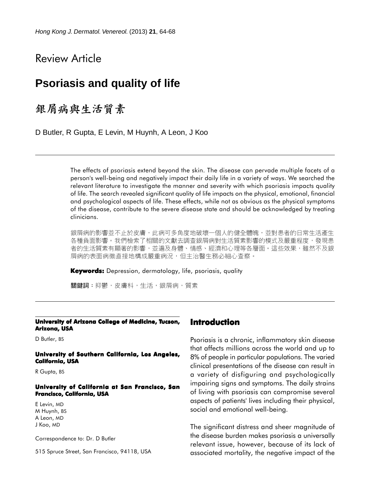# Review Article

# **Psoriasis and quality of life**

銀屑病與生活質素

D Butler, R Gupta, E Levin, M Huynh, A Leon, J Koo

The effects of psoriasis extend beyond the skin. The disease can pervade multiple facets of a person's well-being and negatively impact their daily life in a variety of ways. We searched the relevant literature to investigate the manner and severity with which psoriasis impacts quality of life. The search revealed significant quality of life impacts on the physical, emotional, financial and psychological aspects of life. These effects, while not as obvious as the physical symptoms of the disease, contribute to the severe disease state and should be acknowledged by treating clinicians.

銀屑病的影響並不止於皮膚,此病可多角度地破壞一個人的健全體魄,並對患者的日常生活產生 各種負面影響。我們檢索了相關的文獻去調杳銀層病對生活質素影響的模式及嚴重程度,發現患 者的生活質素有顯著的影響,並遍及身體、情感、經濟和心理等各層面。這些效果,雖然不及銀 屑病的表面病徵直接地構成嚴重病況,但主治醫生務必細心查察。

**Keywords:** Depression, dermatology, life, psoriasis, quality

關鍵詞:抑鬱,皮膚科,生活,銀屑病,質素

#### **University of Arizona College of Medicine, Tucson, Arizona, USA**

D Butler, BS

#### **University of Southern California, Los Angeles, California, USA**

R Gupta, BS

#### **University of California at San Francisco, San Francisco, California, USA**

E Levin, MD M Huynh, BS A Leon, MD J Koo, MD

Correspondence to: Dr. D Butler

515 Spruce Street, San Francisco, 94118, USA

## **Introduction**

Psoriasis is a chronic, inflammatory skin disease that affects millions across the world and up to 8% of people in particular populations. The varied clinical presentations of the disease can result in a variety of disfiguring and psychologically impairing signs and symptoms. The daily strains of living with psoriasis can compromise several aspects of patients' lives including their physical, social and emotional well-being.

The significant distress and sheer magnitude of the disease burden makes psoriasis a universally relevant issue, however, because of its lack of associated mortality, the negative impact of the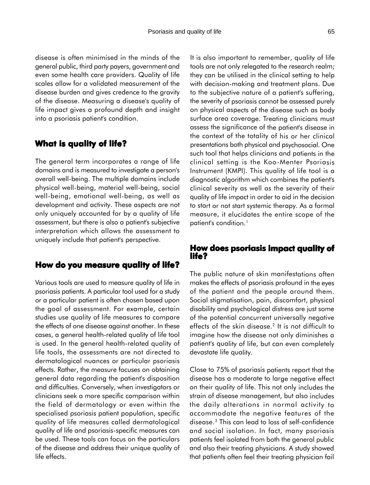disease is often minimised in the minds of the general public, third party payers, government and even some health care providers. Quality of life scales allow for a validated measurement of the disease burden and gives credence to the gravity of the disease. Measuring a disease's quality of life impact gives a profound depth and insight into a psoriasis patient's condition.

# **What is quality of life?**

The general term incorporates a range of life domains and is measured to investigate a person's overall well-being. The multiple domains include physical well-being, material well-being, social well-being, emotional well-being, as well as development and activity. These aspects are not only uniquely accounted for by a quality of life assessment, but there is also a patient's subjective interpretation which allows the assessment to uniquely include that patient's perspective.

# **How do you measure quality of life?**

Various tools are used to measure quality of life in psoriasis patients. A particular tool used for a study or a particular patient is often chosen based upon the goal of assessment. For example, certain studies use quality of life measures to compare the effects of one disease against another. In these cases, a general health-related quality of life tool is used. In the general health-related quality of life tools, the assessments are not directed to dermatological nuances or particular psoriasis effects. Rather, the measure focuses on obtaining general data regarding the patient's disposition and difficulties. Conversely, when investigators or clinicians seek a more specific comparison within the field of dermatology or even within the specialised psoriasis patient population, specific quality of life measures called dermatological quality of life and psoriasis-specific measures can be used. These tools can focus on the particulars of the disease and address their unique quality of life effects.

It is also important to remember, quality of life tools are not only relegated to the research realm; they can be utilised in the clinical setting to help with decision-making and treatment plans. Due to the subjective nature of a patient's suffering, the severity of psoriasis cannot be assessed purely on physical aspects of the disease such as body surface area coverage. Treating clinicians must assess the significance of the patient's disease in the context of the totality of his or her clinical presentations both physical and psychosocial. One such tool that helps clinicians and patients in the clinical setting is the Koo-Menter Psoriasis Instrument (KMPI). This quality of life tool is a diagnostic algorithm which combines the patient's clinical severity as well as the severity of their quality of life impact in order to aid in the decision to start or not start systemic therapy. As a formal measure, it elucidates the entire scope of the patient's condition.<sup>1</sup>

# **How does psoriasis impact quality of How life?**

The public nature of skin manifestations often makes the effects of psoriasis profound in the eyes of the patient and the people around them. Social stigmatisation, pain, discomfort, physical disability and psychological distress are just some of the potential concurrent universally negative effects of the skin disease.<sup>2</sup> It is not difficult to imagine how the disease not only diminishes a patient's quality of life, but can even completely devastate life quality.

Close to 75% of psoriasis patients report that the disease has a moderate to large negative effect on their quality of life. This not only includes the strain of disease management, but also includes the daily alterations in normal activity to accommodate the negative features of the disease.3 This can lead to loss of self-confidence and social isolation. In fact, many psoriasis patients feel isolated from both the general public and also their treating physicians. A study showed that patients often feel their treating physician fail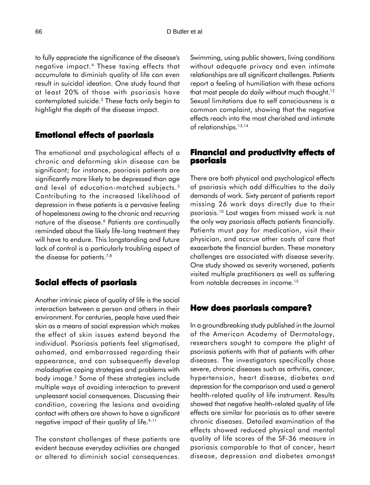to fully appreciate the significance of the disease's negative impact.4 These taxing effects that accumulate to diminish quality of life can even result in suicidal ideation. One study found that at least 20% of those with psoriasis have contemplated suicide.3 These facts only begin to highlight the depth of the disease impact.

# **Emotional effects of psoriasis**

The emotional and psychological effects of a chronic and deforming skin disease can be significant; for instance, psoriasis patients are significantly more likely to be depressed than age and level of education-matched subjects.5 Contributing to the increased likelihood of depression in these patients is a pervasive feeling of hopelessness owing to the chronic and recurring nature of the disease.<sup>6</sup> Patients are continually reminded about the likely life-long treatment they will have to endure. This longstanding and future lack of control is a particularly troubling aspect of the disease for patients.<sup>7,8</sup>

# **Social effects of psoriasis**

Another intrinsic piece of quality of life is the social interaction between a person and others in their environment. For centuries, people have used their skin as a means of social expression which makes the effect of skin issues extend beyond the individual. Psoriasis patients feel stigmatised, ashamed, and embarrassed regarding their appearance, and can subsequently develop maladaptive coping strategies and problems with body image.2 Some of these strategies include multiple ways of avoiding interaction to prevent unpleasant social consequences. Discussing their condition, covering the lesions and avoiding contact with others are shown to have a significant negative impact of their quality of life.<sup>9-11</sup>

The constant challenges of these patients are evident because everyday activities are changed or altered to diminish social consequences. Swimming, using public showers, living conditions without adequate privacy and even intimate relationships are all significant challenges. Patients report a feeling of humiliation with these actions that most people do daily without much thought.<sup>12</sup> Sexual limitations due to self consciousness is a common complaint, showing that the negative effects reach into the most cherished and intimate of relationships.<sup>13,14</sup>

## **Financial and productivity effects of Financial and of psoriasis**

There are both physical and psychological effects of psoriasis which add difficulties to the daily demands of work. Sixty percent of patients report missing 26 work days directly due to their psoriasis.10 Lost wages from missed work is not the only way psoriasis affects patients financially. Patients must pay for medication, visit their physician, and accrue other costs of care that exacerbate the financial burden. These monetary challenges are associated with disease severity. One study showed as severity worsened, patients visited multiple practitioners as well as suffering from notable decreases in income.15

## **How does psoriasis compare?**

In a groundbreaking study published in the Journal of the American Academy of Dermatology, researchers sought to compare the plight of psoriasis patients with that of patients with other diseases. The investigators specifically chose severe, chronic diseases such as arthritis, cancer, hypertension, heart disease, diabetes and depression for the comparison and used a general health-related quality of life instrument. Results showed that negative health-related quality of life effects are similar for psoriasis as to other severe chronic diseases. Detailed examination of the effects showed reduced physical and mental quality of life scores of the SF-36 measure in psoriasis comparable to that of cancer, heart disease, depression and diabetes amongst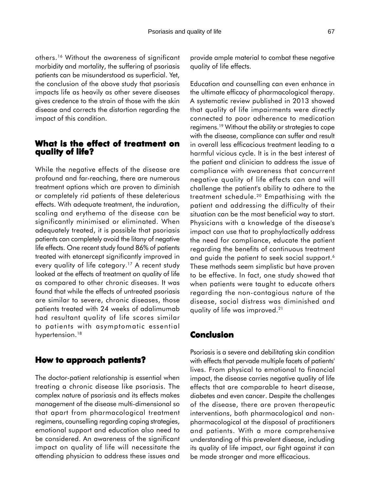others.16 Without the awareness of significant morbidity and mortality, the suffering of psoriasis patients can be misunderstood as superficial. Yet, the conclusion of the above study that psoriasis impacts life as heavily as other severe diseases gives credence to the strain of those with the skin disease and corrects the distortion regarding the impact of this condition.

## **What is the effect of treatment on quality of life?**

While the negative effects of the disease are profound and far-reaching, there are numerous treatment options which are proven to diminish or completely rid patients of these deleterious effects. With adequate treatment, the induration, scaling and erythema of the disease can be significantly minimised or eliminated. When adequately treated, it is possible that psoriasis patients can completely avoid the litany of negative life effects. One recent study found 86% of patients treated with etanercept significantly improved in every quality of life category.<sup>17</sup> A recent study looked at the effects of treatment on quality of life as compared to other chronic diseases. It was found that while the effects of untreated psoriasis are similar to severe, chronic diseases, those patients treated with 24 weeks of adalimumab had resultant quality of life scores similar to patients with asymptomatic essential hypertension.<sup>18</sup>

## **How to approach patients?**

The doctor-patient relationship is essential when treating a chronic disease like psoriasis. The complex nature of psoriasis and its effects makes management of the disease multi-dimensional so that apart from pharmacological treatment regimens, counselling regarding coping strategies, emotional support and education also need to be considered. An awareness of the significant impact on quality of life will necessitate the attending physician to address these issues and

provide ample material to combat these negative quality of life effects.

Education and counselling can even enhance in the ultimate efficacy of pharmacological therapy. A systematic review published in 2013 showed that quality of life impairments were directly connected to poor adherence to medication regimens.19 Without the ability or strategies to cope with the disease, compliance can suffer and result in overall less efficacious treatment leading to a harmful vicious cycle. It is in the best interest of the patient and clinician to address the issue of compliance with awareness that concurrent negative quality of life effects can and will challenge the patient's ability to adhere to the treatment schedule.20 Empathising with the patient and addressing the difficulty of their situation can be the most beneficial way to start. Physicians with a knowledge of the disease's impact can use that to prophylactically address the need for compliance, educate the patient regarding the benefits of continuous treatment and guide the patient to seek social support.<sup>6</sup> These methods seem simplistic but have proven to be effective. In fact, one study showed that when patients were taught to educate others regarding the non-contagious nature of the disease, social distress was diminished and quality of life was improved.21

## **Conclusion**

Psoriasis is a severe and debilitating skin condition with effects that pervade multiple facets of patients' lives. From physical to emotional to financial impact, the disease carries negative quality of life effects that are comparable to heart disease, diabetes and even cancer. Despite the challenges of the disease, there are proven therapeutic interventions, both pharmacological and nonpharmacological at the disposal of practitioners and patients. With a more comprehensive understanding of this prevalent disease, including its quality of life impact, our fight against it can be made stronger and more efficacious.